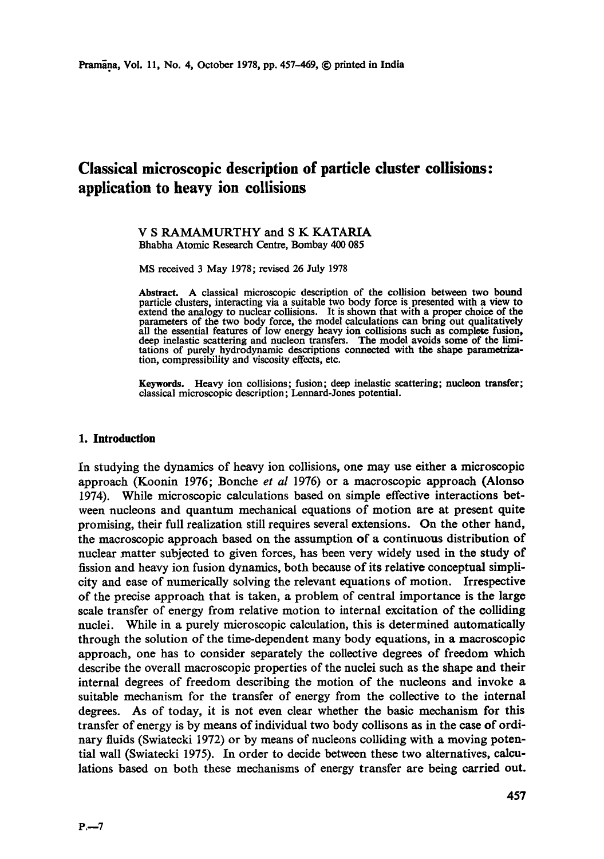# **Classical microscopic description of particle cluster collisions: application to heavy ion collisions**

#### V S RAMAMURTHY and S K KATARIA Bhabha Atomic Research Centre, Bombay 400 085

MS received 3 May 1978; revised 26 July 1978

**Abstract.** A classical microscopic description of the collision between two bound particle clusters, interacting via a suitable two body force is presented with a view **to**  extend the analogy to nuclear collisions. It is shown that with a proper choice of the parameters of the two body force, the model calculations can bring out qualitatively all the essential features of low energy heavy ion collisions such as complete fusion, deep inelastic scattering and nucleon transfers. The model avoids some of the limitations of purely hydrodynamic descriptions connected with the shape parametrization, compressibility and viscosity effects, etc.

**Keywords.** Heavy ion collisions; fusion; deep inelastic scattering; nucleon **transfer;**  classical microscopic description; Lennard-Jones potential.

#### **1. Introduction**

In studying the dynamics of heavy ion collisions, one may use either a microscopic approach (Koonin 1976; Bonche *et al* 1976) or a macroscopic approach (Alonso 1974). While microscopic calculations based on simple effective interactions between nucleons and quantum mechanical equations of motion are at present quite promising, their full realization still requires several extensions. On the other hand, the macroscopic approach based on the assumption of a continuous distribution of nuclear matter subjected to given forces, has been very widely used in the study of fission and heavy ion fusion dynamics, both because of its relative conceptual simplicity and ease of numerically solving the relevant equations of motion. Irrespective of the precise approach that is taken, a problem of central importance is the large scale transfer of energy from relative motion to internal excitation of the colliding nuclei. While in a purely microscopic calculation, this is determined automatically through the solution of the time-dependent many body equations, in a macroscopic approach, one has to consider separately the collective degrees of freedom which describe the overall macroscopic properties of the nuclei such as the shape and their internal degrees of freedom describing the motion of the nucleons and invoke a suitable mechanism for the transfer of energy from the collective to the internal degrees. As of today, it is not even clear whether the basic mechanism for this transfer of energy is by means of individual two body collisons as in the case of ordinary fluids (Swiatecki 1972) or by means of nucleons colliding with a moving potential wall (Swiatecki 1975). In order to decide between these two alternatives, calculations based on both these mechanisms of energy transfer are being carried out.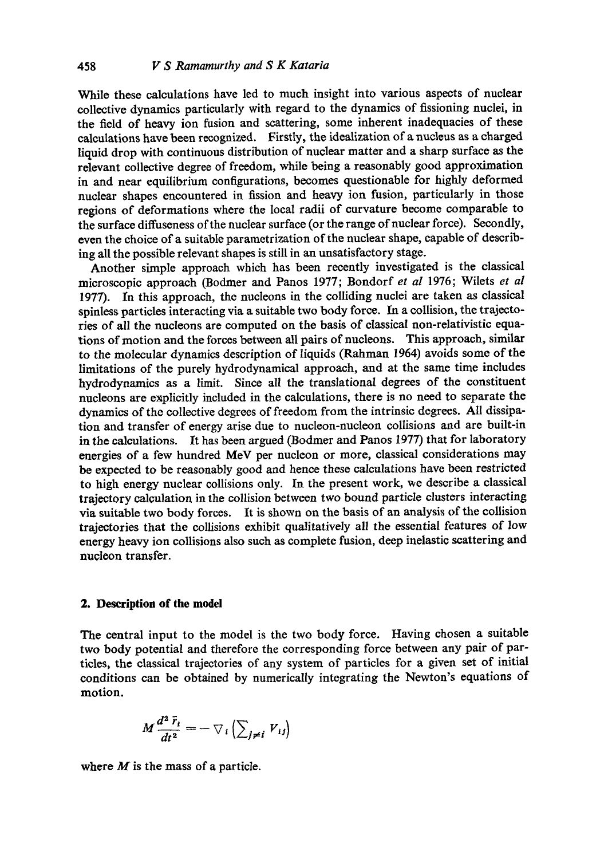While these calculations have led to much insight into various aspects of nuclear collective dynamics particularly with regard to the dynamics of fissioning nuclei, in the field of heavy ion fusion and scattering, some inherent inadequacies of these calculations have been recognized. Firstly, the idealization of a nucleus as a charged liquid drop with continuous distribution of nuclear matter and a sharp surface as the relevant collective degree of freedom, while being a reasonably good approximation in and near equilibrium configurations, becomes questionable for highly deformed nuclear shapes encountered in fission and heavy ion fusion, particularly in those regions of deformations where the local radii of curvature become comparable to the surface diffuseness of the nuclear surface (or the range of nuclear force). Secondly, even the choice of a suitable parametrization of the nuclear shape, capable of describing all the possible relevant shapes is still in an unsatisfactory stage.

Another simple approach which has been recently investigated is the classical microscopic approach (Bodmer and Panos 1977; Bondorf *et al* 1976; Wilets *et al*  1977). In this approach, the nucleons in the colliding nuclei are taken as elassical spinless particles interacting via a suitable two body force. In a collision, the trajectories of all the nucleons are computed on the basis of classical non-relativistic equations of motion and the forces between all pairs of nucleons. This approach, similar to the molecular dynamics description of liquids (Rahman 1964) avoids some of the limitations of the purely hydrodynamical approach, and at the same time includes hydrodynamics as a limit. Since all the translational degrees of the constituent nucleons are explicitly included in the calculations, there is no need to separate the dynamics of the collective degrees of freedom from the intrinsic degrees. All dissipation and transfer of energy arise due to nueleon-nueleon collisions and are built-in in the calculations. It has been argued (Bodmer and Panos 1977) that for laboratory energies of a few hundred MeV per nucleon or more, elassieal considerations may be expected to be reasonably good and hence these calculations have been restricted to high energy nuclear collisions only. In the present work, we describe a classical trajectory calculation in the collision between two bound particle clusters interacting via suitable two body forces. It is shown on the basis of an analysis of the collision trajectories that the collisions exhibit qualitatively all the essential features of low energy heavy ion collisions also such as complete fusion, deep inelastic scattering and nucleon transfer.

### **2. Description of the model**

The central input to the model is the two body force. Having chosen a suitable two body potential and therefore the corresponding force between any pair of particles, the classical trajectories of any system of particles for a given set of initial conditions can be obtained by numerically integrating the Newton's equations of motion.

$$
M\frac{d^2\,\vec{r}_i}{dt^2}=-\,\nabla_i\left(\sum_{j\neq i}V_{ij}\right)
$$

where  $M$  is the mass of a particle.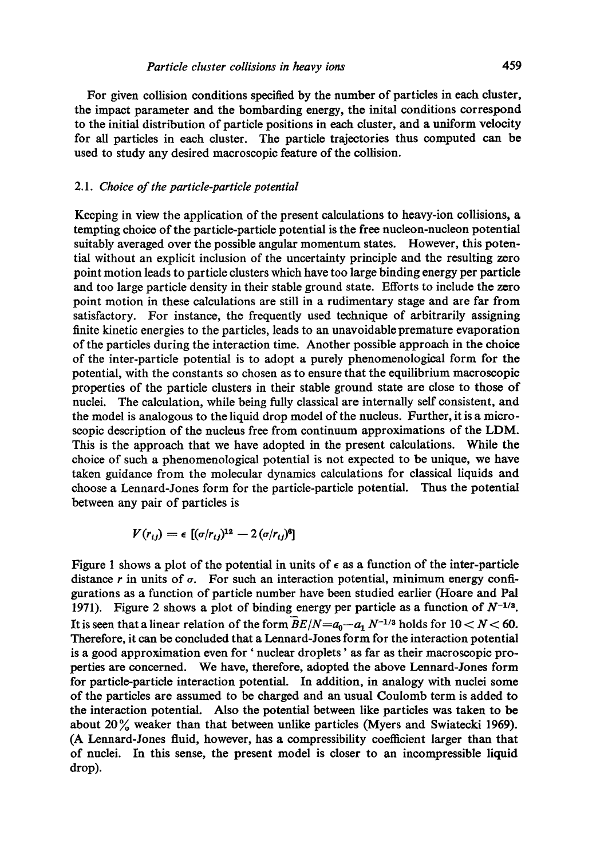used to study any desired macroscopic feature of the collision.

For given collision conditions specified by the number of particles in each cluster, the impact parameter and the bombarding energy, the inital conditions correspond to the initial distribution of particle positions in each cluster, and a uniform velocity for all particles in each cluster. The particle trajectories thus computed can be

#### *2.1. Choice of the particle-particle potential*

Keeping in view the application of the present calculations to heavy-ion collisions, a tempting choice of the particle-particle potential is the free nucleon-nucleon potential suitably averaged over the possible angular momentum states. However, this potential without an explicit inclusion of the uncertainty principle and the resulting zero point motion leads to particle clusters which have too large binding energy per particle and too large particle density in their stable ground state. Efforts to include the zero point motion in these calculations are still in a rudimentary stage and are far from satisfactory. For instance, the frequently used technique of arbitrarily assigning finite kinetic energies to the particles, leads to an unavoidable premature evaporation of the particles during the interaction time. Another possible approach in the choice of the inter-particle potential is to adopt a purely phenomenologieal form for the potential, with the constants so chosen as to ensure that the equilibrium macroscopic properties of the particle clusters in their stable ground state are close to those of nuclei. The calculation, while being fully classical are internally self consistent, and the model is analogous to the liquid drop model of the nucleus. Further, it is a microscopic description of the nucleus free from continuum approximations of the LDM. This is the approach that we have adopted in the present calculations. While the choice of such a phenomenological potential is not expected to be unique, we have taken guidance from the molecular dynamics calculations for classical liquids and choose a Lennard-Jones form for the particle-particle potential. Thus the potential between any pair of particles is

$$
V(r_{ij}) = \epsilon \, [(\sigma/r_{ij})^{12} - 2 (\sigma/r_{ij})^6]
$$

Figure 1 shows a plot of the potential in units of  $\epsilon$  as a function of the inter-particle distance r in units of  $\sigma$ . For such an interaction potential, minimum energy configurations as a function of particle number have been studied earlier (Hoare and Pal 1971). Figure 2 shows a plot of binding energy per particle as a function of  $N^{-1/3}$ . It is seen that a linear relation of the form  $\overline{B}E/N=a_0-a_1 N^{-1/3}$  holds for  $10 < N < 60$ . Therefore, it can be concluded that a Lennard-Jones form for the interaction potential is a good approximation even for ' nuclear droplets' as far as their macroscopic properties are concerned. We have, therefore, adopted the above Lennard-Jones form for particle-particle interaction potential. In addition, in analogy with nuclei some of the particles are assumed to be charged and an usual Coulomb term is added to the interaction potential. Also the potential between like particles was taken to be about  $20\%$  weaker than that between unlike particles (Myers and Swiatecki 1969). (A Lennard-Jones fluid, however, has a compressibility eoetficient larger than that of nuclei. In this sense, the present model is closer to an incompressible liquid drop).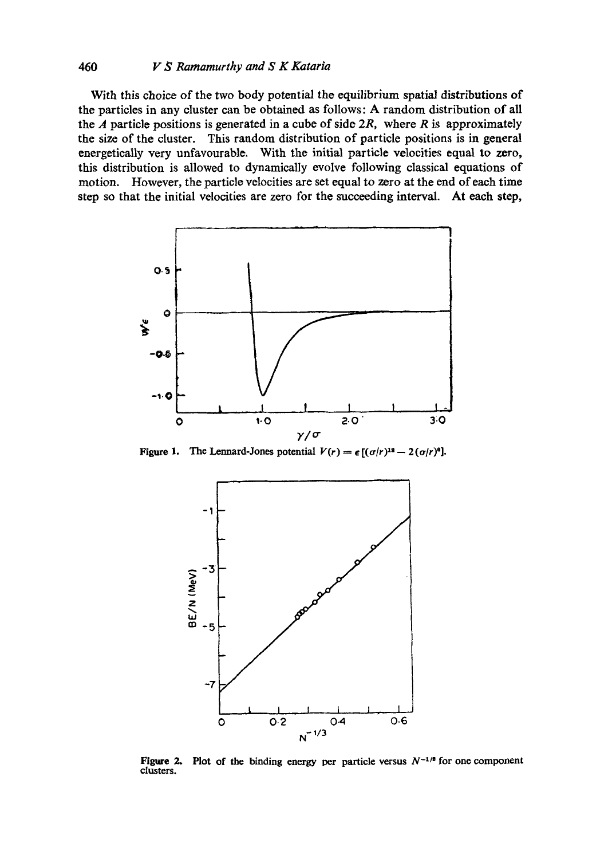## 460 *V S Ramamurthy and S K Kataria*

With this choice of the two body potential the equilibrium spatial distributions of the particles in any cluster can be obtained as follows: A random distribution of all the  $\vec{A}$  particle positions is generated in a cube of side 2 $\vec{R}$ , where  $\vec{R}$  is approximately the size of the cluster. This random distribution of particle positions is in general energetically very unfavourable. With the initial particle velocities equal to zero, this distribution is allowed to dynamically evolve following classical equations of motion. However, the particle velocities are set equal to zero at the end of each time step so that the initial velocities are zero for the succeeding interval. At each step,



Figure 1. The Lennard-Jones potential  $V(r) = \epsilon [(\sigma/r)^{12} - 2(\sigma/r)^6]$ .



Figure 2. Plot of the binding energy per particle versus  $N^{-1/3}$  for one component clusters.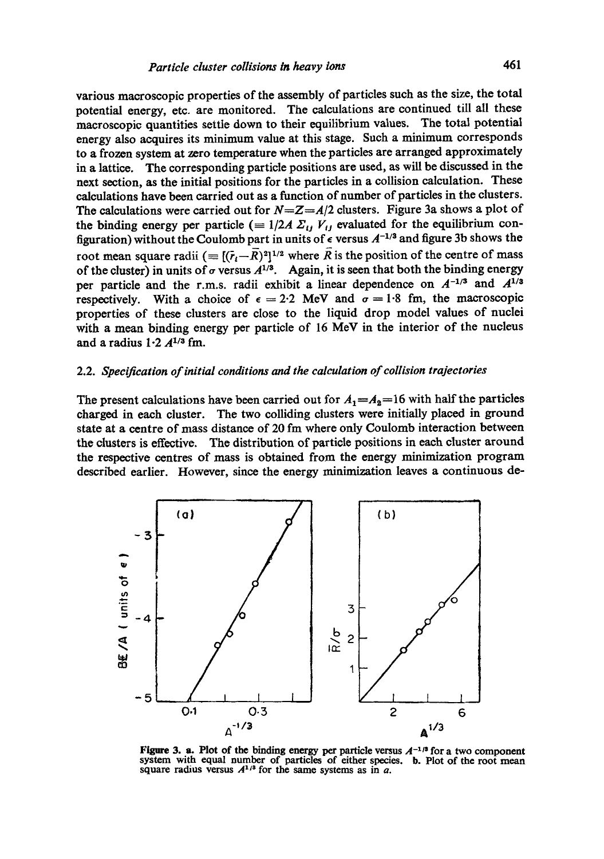various macroscopic properties of the assembly of particles such as the size, the total potential energy, etc. are monitored. The calculations are continued till all these macroscopic quantities settle down to their equilibrium values. The total potential energy also acquires its minimum value at this stage. Such a minimum corresponds to a frozen system at zero temperature when the particles are arranged approximately in a lattice. The corresponding particle positions are used, as will be discussed in the next section, as the initial positions for the particles in a collision calculation. These calculations have been carried out as a function of number of particles in the dusters. The calculations were carried out for  $N=Z=A/2$  clusters. Figure 3a shows a plot of the binding energy per particle  $(= 1/2A \Sigma_{ij} V_{ij})$  evaluated for the equilibrium configuration) without the Coulomb part in units of  $\epsilon$  versus  $A^{-1/3}$  and figure 3b shows the root mean square radii  $(=(\bar{r}_i-\bar{R})^2)^{1/2}$  where  $\bar{R}$  is the position of the centre of mass of the cluster) in units of  $\sigma$  versus  $A^{1/3}$ . Again, it is seen that both the binding energy per particle and the r.m.s. radii exhibit a linear dependence on  $A^{-1/3}$  and  $A^{1/3}$ respectively. With a choice of  $\epsilon = 2.2$  MeV and  $\sigma = 1.8$  fm, the macroscopic properties of these clusters are close to the liquid drop model values of nuclei with a mean binding energy per particle of 16 MeV in the interior of the nucleus and a radius  $1.2 A^{1/3}$  fm.

## 2.2. *Specification of initial conditions and the calculation of collision trajectories*

The present calculations have been carried out for  $A_1 = A_2 = 16$  with half the particles charged in each cluster. The two colliding dusters were initially placed in ground state at a centre of mass distance of 20 fm where only Coulomb interaction between the clusters is effective. The distribution of particle positions in each duster around the respective eentres of mass is obtained from the energy minimization program described earlier. However, since the energy minimization leaves a continuous de-



Figure 3. a. Plot of the binding energy per particle versus  $A^{-1/3}$  for a two component system with equal number of particles of either species. b. Plot of the root mean square radius versus  $A^{1/3}$  for the same systems as in a.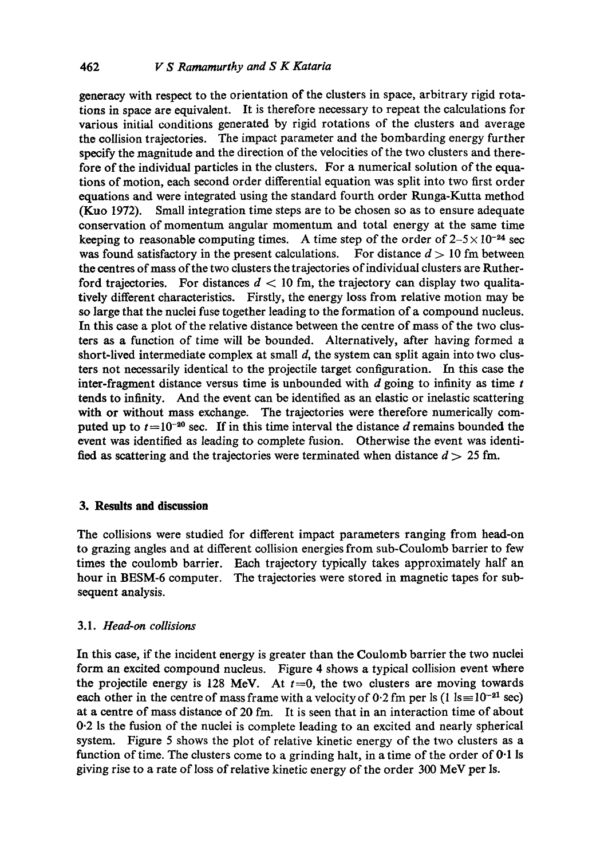generaey with respect to the orientation of the dusters in space, arbitrary rigid rotations in space are equivalent. It is therefore necessary to repeat the calculations for various initial conditions generated by rigid rotations of the clusters and average the collision trajectories. The impact parameter and the bombarding energy further specify the magnitude and the direction of the velocities of the two clusters and therefore of the individual particles in the clusters. For a numerical solution of the equations of motion, each second order differential equation was split into two first order equations and were integrated using the standard fourth order Runga-Kutta method (Kuo 1972). Small integration time steps are to be chosen so as to ensure adequate conservation of momentum angular momentum and total energy at the same time keeping to reasonable computing times. A time step of the order of  $2-5 \times 10^{-24}$  sec was found satisfactory in the present calculations. For distance  $d > 10$  fm between the eentres of mass of the two clusters the trajectories of individual clusters are Rutherford trajectories. For distances  $d < 10$  fm, the trajectory can display two qualitatively different characteristics. Firstly, the energy loss from relative motion may be so large that the nuclei fuse together leading to the formation of a compound nucleus. In this ease a plot of the relative distance between the centre of mass of the two clusters as a function of time will be bounded. Alternatively, after having formed a short-lived intermediate complex at small  $d$ , the system can split again into two clusters not necessarily identical to the projectile target configuration. In this case the inter-fragment distance versus time is unbounded with  $d$  going to infinity as time  $t$ tends to infinity. And the event can be identified as an elastic or inelastic scattering with or without mass exchange. The trajectories were therefore numerically computed up to  $t=10^{-20}$  sec. If in this time interval the distance d remains bounded the event was identified as leading to complete fusion. Otherwise the event was identified as scattering and the trajectories were terminated when distance  $d > 25$  fm.

## **3. Results and discussion**

The collisions were studied for different impact parameters ranging from head-on to grazing angles and at different collision energies from sub-Coulomb barrier to few times the coulomb barrier. Each trajectory typically takes approximately half an hour in BESM-6 computer. The trajectories were stored in magnetic tapes for subsequent analysis.

## 3.1. *Head-on collisions*

In this case, if the incident energy is greater than the Coulomb barrier the two nuclei form an excited compound nucleus. Figure 4 shows a typical collision event where the projectile energy is 128 MeV. At  $t=0$ , the two clusters are moving towards each other in the centre of mass frame with a velocity of 0.2 fm per ls (1 ls= $10^{-21}$  sec) at a centre of mass distance of 20 fm. It is seen that in an interaction time of about 0.2 ls the fusion of the nuclei is complete leading to an excited and nearly spherical system. Figure 5 shows the plot of relative kinetic energy of the two clusters as a function of time. The clusters come to a grinding halt, in a time of the order of 0.1 Is giving rise to a rate of loss of relative kinetic energy of the order 300 MeV per Is.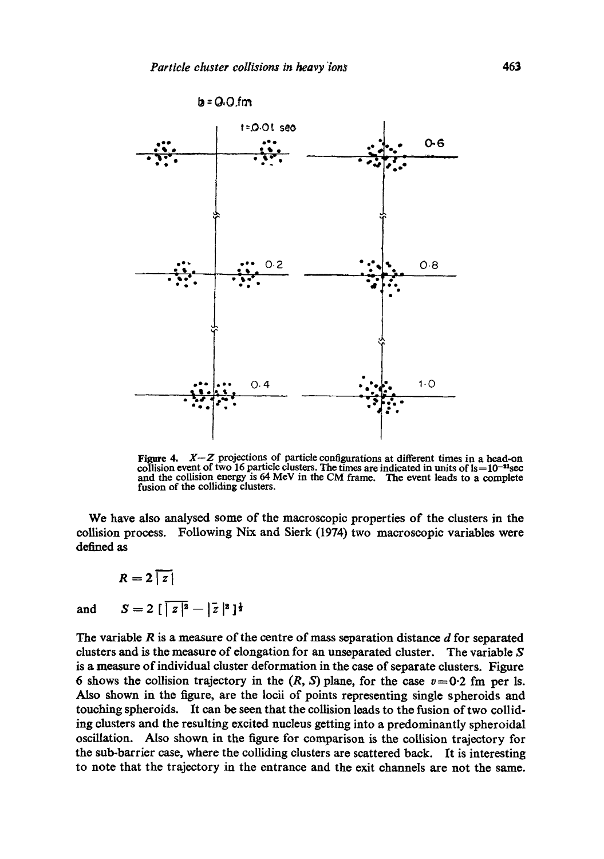

**Figure 4.** *X-Z* projections of particle configurations at different times in a head-on collision event of two 16 particle clusters. The times are indicated in units of  $Is = 10^{-11}$ sec and the collision energy is 64 MeV in the CM frame. The event leads to a complete fusion of the colliding clusters.

We have also analysed some of the macroscopic properties of the clusters in the collision process. Following Nix and Sierk (1974) two macroscopic variables were defined as

 $R=2\lceil$ and  $S=2 \left[\frac{z^2-|z|^2}{z^2-1}\right]$ 

The variable  $R$  is a measure of the centre of mass separation distance  $d$  for separated clusters and is the measure of elongation for an unseparated cluster. The variable  $S$ is a measure of individual cluster deformation in the case of separate clusters. Figure 6 shows the collision trajectory in the  $(R, S)$  plane, for the case  $v = 0.2$  fm per Is. Also shown in the figure, are the locii of points representing single spheroids and touching spheroids. It can be seen that the collision leads to the fusion of two colliding clusters and the resulting excited nucleus getting into a predominantly spheroidal oscillation. Also shown in the figure for comparison is the collision trajectory for the sub-barrier case, where the colliding clusters are scattered back. It is interesting to note that the trajectory in the entrance and the exit channels axe not the same.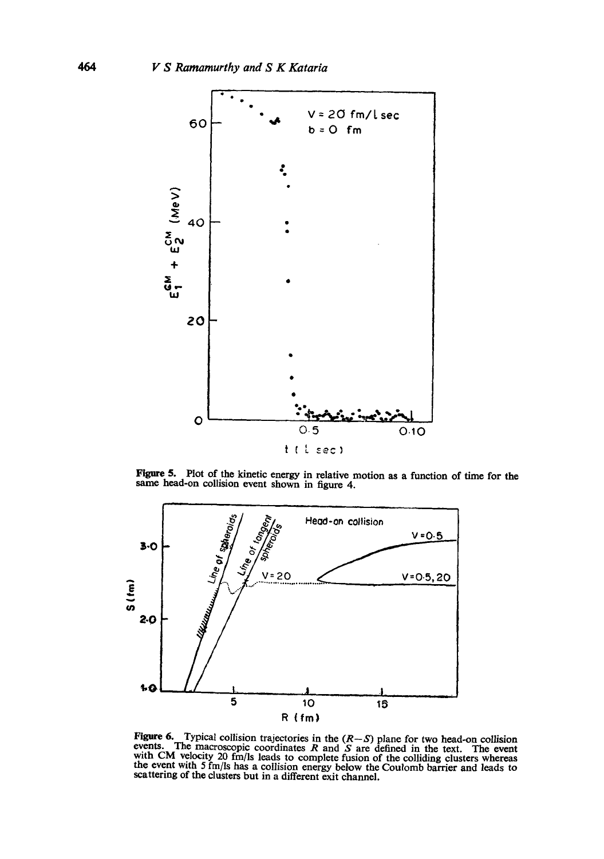

Figure 5. Plot of the kinetic energy in relative motion as a function of time for the same head-on collision event shown in figure 4.



**Figure 6.** Typical collision trajectories in the  $(R-S)$  plane for two head-on collision events. The macroscopic coordinates R and S are defined in the text. The event with CM velocity 20 fm/ls leads to complete fusion of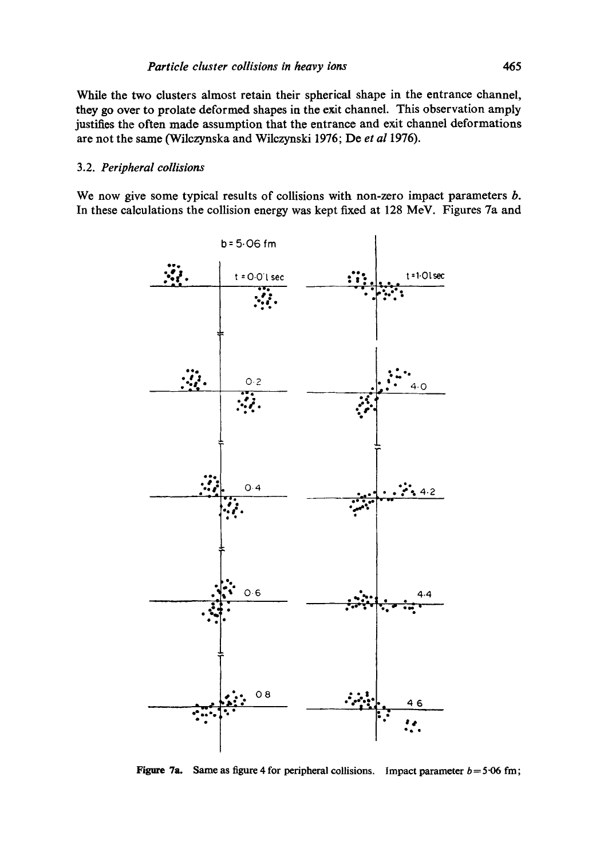While the two clusters almost retain their spherical shape in the entrance channel, they go over to prolate deformed shapes in the exit channel. This observation amply justifies the often made assumption that the entrance and exit channel deformations are not the same (Wilczynska and Wilczynski 1976; De et al 1976).

#### 3.2. Peripheral collisions

We now give some typical results of collisions with non-zero impact parameters  $b$ . In these calculations the collision energy was kept fixed at 128 MeV. Figures 7a and



Figure 7a. Same as figure 4 for peripheral collisions. Impact parameter  $b = 5.06$  fm;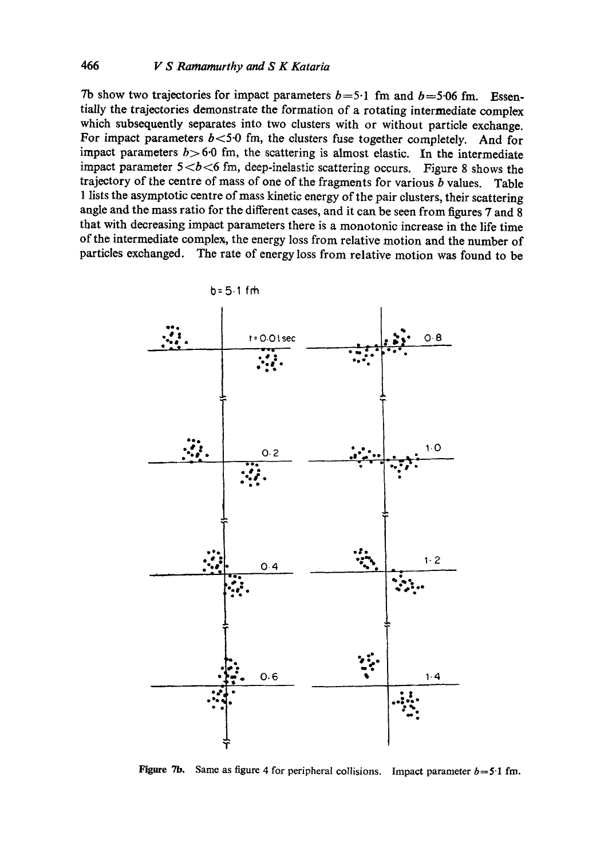Tb show two trajectories for impact parameters  $b=5.1$  fm and  $b=5.06$  fm. Essentially the trajectories demonstrate the formation of a rotating intermediate complex which subsequently separates into two clusters with or without particle exchange. For impact parameters  $b < 5.0$  fm, the clusters fuse together completely. And for impact parameters  $b > 6.0$  fm, the scattering is almost elastic. In the intermediate impact parameter  $5 < b < 6$  fm, deep-inelastic scattering occurs. Figure 8 shows the trajectory of the centre of mass of one of the fragments for various  $b$  values. Table 1 lists the asymptotic centre of mass kinetic energy of the pair clusters, their scattering angle and the mass ratio for the different cases, and it can be seen from figures 7 and 8 that with decreasing impact parameters there is a monotonic increase in the life time of the intermediate complex, the energy loss from relative motion and the number of particles exchanged. The rate of energy loss from relative motion was found to be



Figure 7b. Same as figure 4 for peripheral collisions. Impact parameter  $b=5.1$  fm.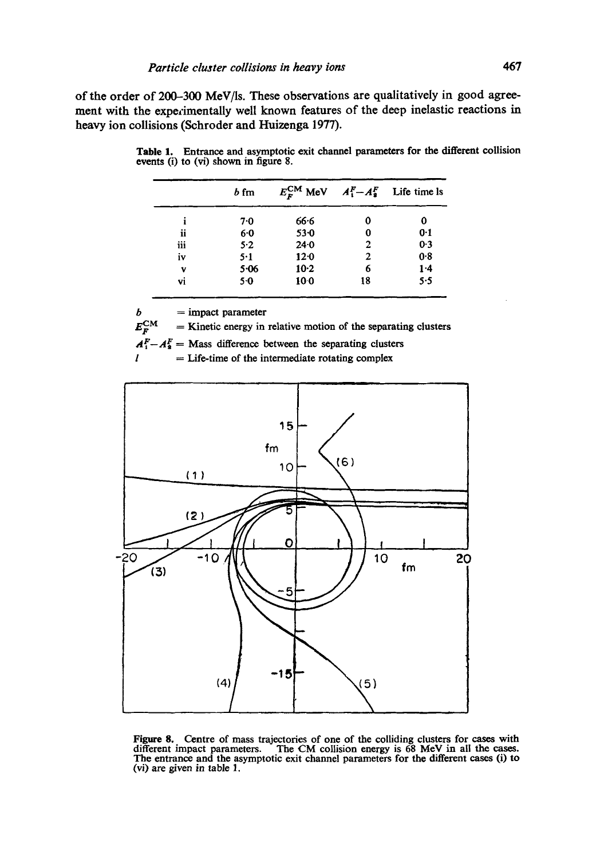of the order of 200-300 MeV/ls. These observations are qualitatively in good agreement with the experimentally well known features of the deep inelastic reactions in heavy ion collisions (Sehroder and Huizenga 1977).

|     | $b$ fm |                 |    | $E_F^{CM}$ MeV $A_1^F - A_2^F$ Life time ls |
|-----|--------|-----------------|----|---------------------------------------------|
|     | 7.0    | 66.6            | 0  | 0                                           |
| ii  | 60     | $53 - 0$        | 0  | 0.1                                         |
| iii | 5.2    | $24 - 0$        | 2  | $0-3$                                       |
| iv  | 5.1    | $12-0$          | 2  | 0.8                                         |
| v   | 5.06   | $10-2$          | 6  | 1.4                                         |
| vi  | 5.0    | 10 <sub>0</sub> | 18 | 5.5                                         |

Table 1. Entrance and asymptotic exit channel parameters for the different collision events (i) to (vi) shown in figure 8.

 $b =$ impact parameter

 $E_{\rm F}^{\rm CM}$  = Kinetic energy in relative motion of the separating clusters

 $A_1^F - A_2^F =$  Mass difference between the separating clusters

 $=$  Life-time of the intermediate rotating complex



Figure 8. Centre of mass trajectories of one of the colliding clusters for cases with different impact parameters. The CM collision energy is 68 MeV in all the cases. The entrance and the asymptotic exit channel parameters for the different cases (i) to (vi) are given in table 1.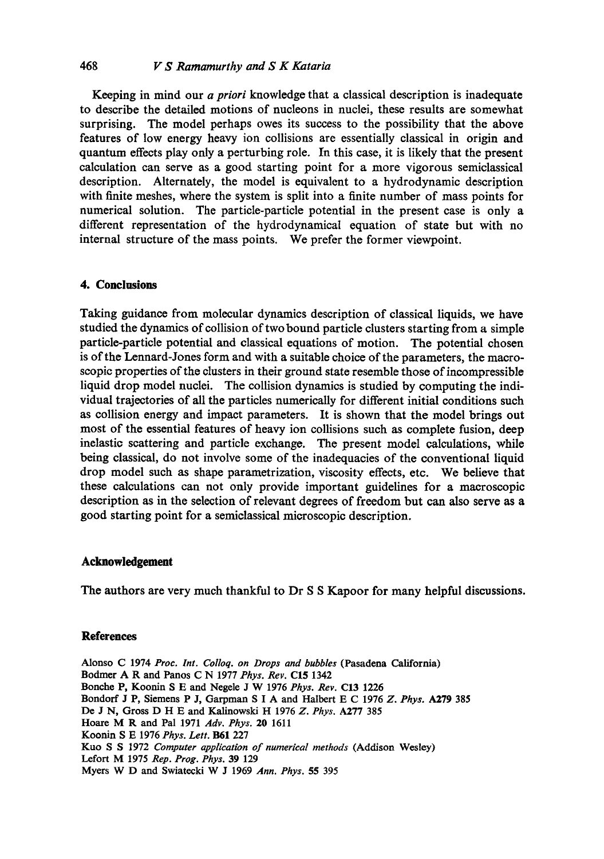## 468 *lz" S Ramamurthy and S K Kataria*

Keeping in mind our *a priori* knowledge that a classical description is inadequate to describe the detailed motions of nucleons in nuclei, these results are somewhat surprising. The model perhaps owes its success to the possibility that the above features of low energy heavy ion collisions are essentially classical in origin and quantum effects play only a perturbing role. In this case, it is likely that the present calculation can serve as a good starting point for a more vigorous semiclassieal description. Alternately, the model is equivalent to a hydrodynamic description with finite meshes, where the system is split into a finite number of mass points for numerical solution. The particle-particle potential in the present ease is only a different representation of the hydrodynamieal equation of state but with no internal structure of the mass points. We prefer the former viewpoint.

### **4. Conclusions**

Taking guidance from molecular dynamics description of classical liquids, we have studied the dynamics of collision of two bound particle clusters starting from a simple particle-particle potential and classical equations of motion. The potential chosen is of the Lennard-Jones form and with a suitable choice of the parameters, the macroseopie properties of the clusters in their ground state resemble those of incompressible liquid drop model nuclei. The collision dynamics is studied by computing the individual trajectories of all the particles numerically for different initial conditions such as collision energy and impact parameters. It is shown that the model brings out most of the essential features of heavy ion collisions such as complete fusion, deep inelastic scattering and particle exchange. The present model calculations, while being classical, do not involve some of the inadequacies of the conventional liquid drop model such as shape parametrization, viscosity effects, etc. We believe that these calculations can not only provide important guidelines for a macroscopic description as in the selection of relevant degrees of freedom but can also serve as a good starting point for a semiclassical mioroseopic description.

## **Acknowledgement**

The authors are very much thankful to Dr S S Kapoor for many helpful discussions.

### **References**

Alonso C 1974 *Proc. Int. Colloq. on Drops and bubbles* (Pasadena California) Bodmer A R and Panos C N 1977 *Phys. Rev.* C15 1342 Bonehe P, Koonin S E and Negele J W 1976 *Phys. Rev.* C13 1226 Bondorf J P, Siemens P J, Garpman S I A and Halbert E C 1976 *Z. Phys.* A279 385 De J N, Gross D H E and Kalinowski H 1976 *Z. Phys'.* A277 385 Hoare M R and Pal 1971 *Adv. Phys.* 20 1611 Koonin S E 1976 *Phys. Lett.* B61 227 Kuo S S 1972 *Computer application of numerical methods* (Addison Wesley) Lcfort M 1975 *Rep. Prog. Phys.* 39 129 Myers W D and Swiatecki W J 1969 Ann. Phys. 55 395